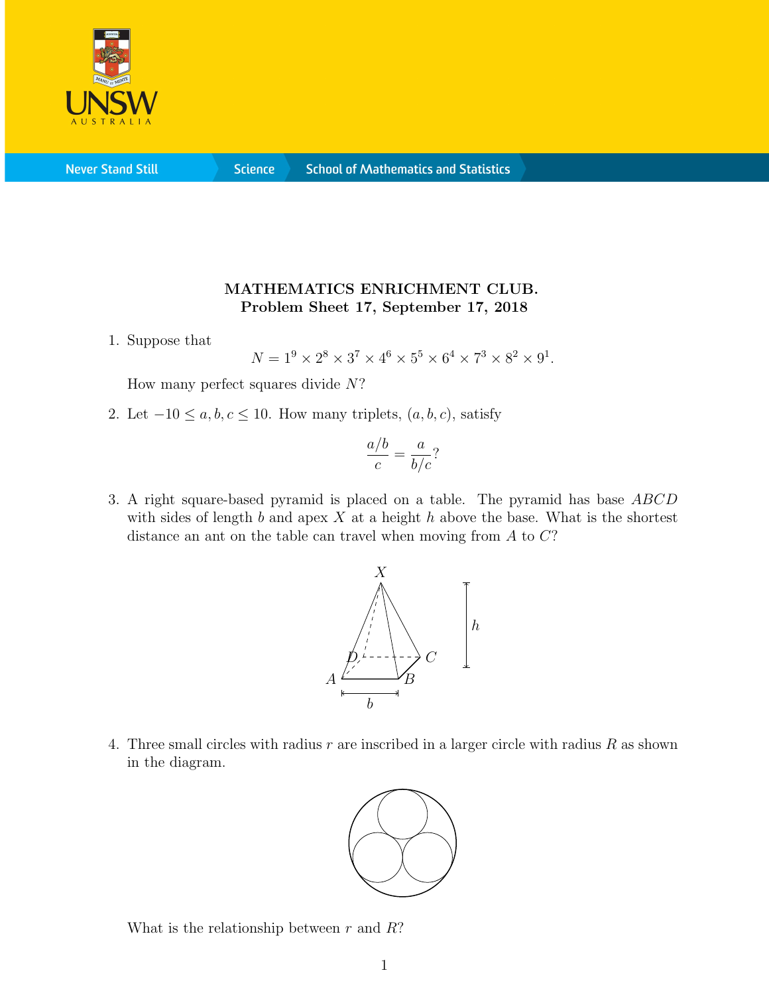

**Never Stand Still** 

**Science** 

## MATHEMATICS ENRICHMENT CLUB. Problem Sheet 17, September 17, 2018

1. Suppose that

 $N = 1^9 \times 2^8 \times 3^7 \times 4^6 \times 5^5 \times 6^4 \times 7^3 \times 8^2 \times 9^1$ .

How many perfect squares divide  $N$ ?

2. Let  $-10 \le a, b, c \le 10$ . How many triplets,  $(a, b, c)$ , satisfy

$$
\frac{a/b}{c} = \frac{a}{b/c}?
$$

3. A right square-based pyramid is placed on a table. The pyramid has base ABCD with sides of length  $b$  and apex  $X$  at a height  $h$  above the base. What is the shortest distance an ant on the table can travel when moving from A to C?



4. Three small circles with radius  $r$  are inscribed in a larger circle with radius  $R$  as shown in the diagram.



What is the relationship between  $r$  and  $R$ ?